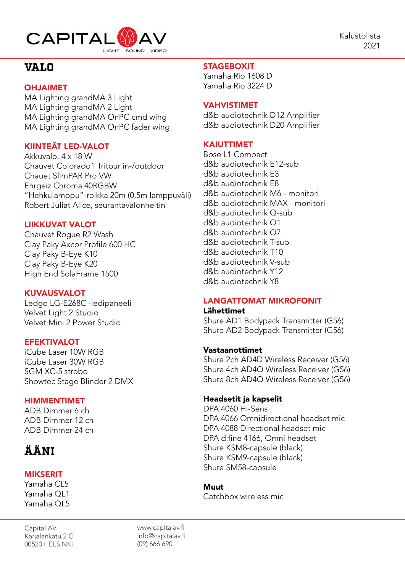

# **VALO**

### OHJAIMET

MA Lighting grandMA 3 Light MA Lighting grandMA 2 Light MA Lighting grandMA OnPC cmd wing MA Lighting grandMA OnPC fader wing

### KIINTEÄT LED-VALOT

Akkuvalo, 4 x 18 W Chauvet Colorado1 Tritour in-/outdoor Chauet SlimPAR Pro VW Ehrgeiz Chroma 40RGBW "Hehkulamppu"-roikka 20m (0,5m lamppuväli) Robert Juliat Alice, seurantavalonheitin

### LIIKKUVAT VALOT

Chauvet Rogue R2 Wash Clay Paky Axcor Profile 600 HC Clay Paky B-Eye K10 Clay Paky B-Eye K20 High End SolaFrame 1500

### KUVAUSVALOT

Ledgo LG-E268C -ledipaneeli Velvet Light 2 Studio Velvet Mini 2 Power Studio

### **EFEKTIVALOT**

iCube Laser 10W RGB iCube Laser 30W RGB SGM XC-5 strobo Showtec Stage Blinder 2 DMX

### HIMMENTIMET

ADB Dimmer 6 ch ADB Dimmer 12 ch ADB Dimmer 24 ch

# **ÄÄNI**

### MIKSERIT

Yamaha CL5 Yamaha QL1 Yamaha QL5

Capital AV Karjalankatu 2 C 00520 HELSINKI

### **STAGEBOXIT**

Yamaha Rio 1608 D Yamaha Rio 3224 D

### VAHVISTIMET

d&b audiotechnik D12 Amplifier d&b audiotechnik D20 Amplifier

### KAIUTTIMET

Bose L1 Compact d&b audiotechnik E12-sub d&b audiotechnik E3 d&b audiotechnik E8 d&b audiotechnik M6 - monitori d&b audiotechnik MAX - monitori d&b audiotechnik Q-sub d&b audiotechnik Q1 d&b audiotechnik Q7 d&b audiotechnik T-sub d&b audiotechnik T10 d&b audiotechnik V-sub d&b audiotechnik Y12 d&b audiotechnik Y8

## LANGATTOMAT MIKROFONIT

Lähettimet Shure AD1 Bodypack Transmitter (G56) Shure AD2 Bodypack Transmitter (G56)

### Vastaanottimet

Shure 2ch AD4D Wireless Receiver (G56) Shure 4ch AD4Q Wireless Receiver (G56) Shure 8ch AD4Q Wireless Receiver (G56)

### Headsetit ja kapselit

DPA 4060 Hi-Sens DPA 4066 Omnidirectional headset mic DPA 4088 Directional headset mic DPA d:fine 4166, Omni headset Shure KSM8-capsule (black) Shure KSM9-capsule (black) Shure SM58-capsule

### Muut

Catchbox wireless mic

www.capitalav.fi info@capitalav.fi (09) 666 690